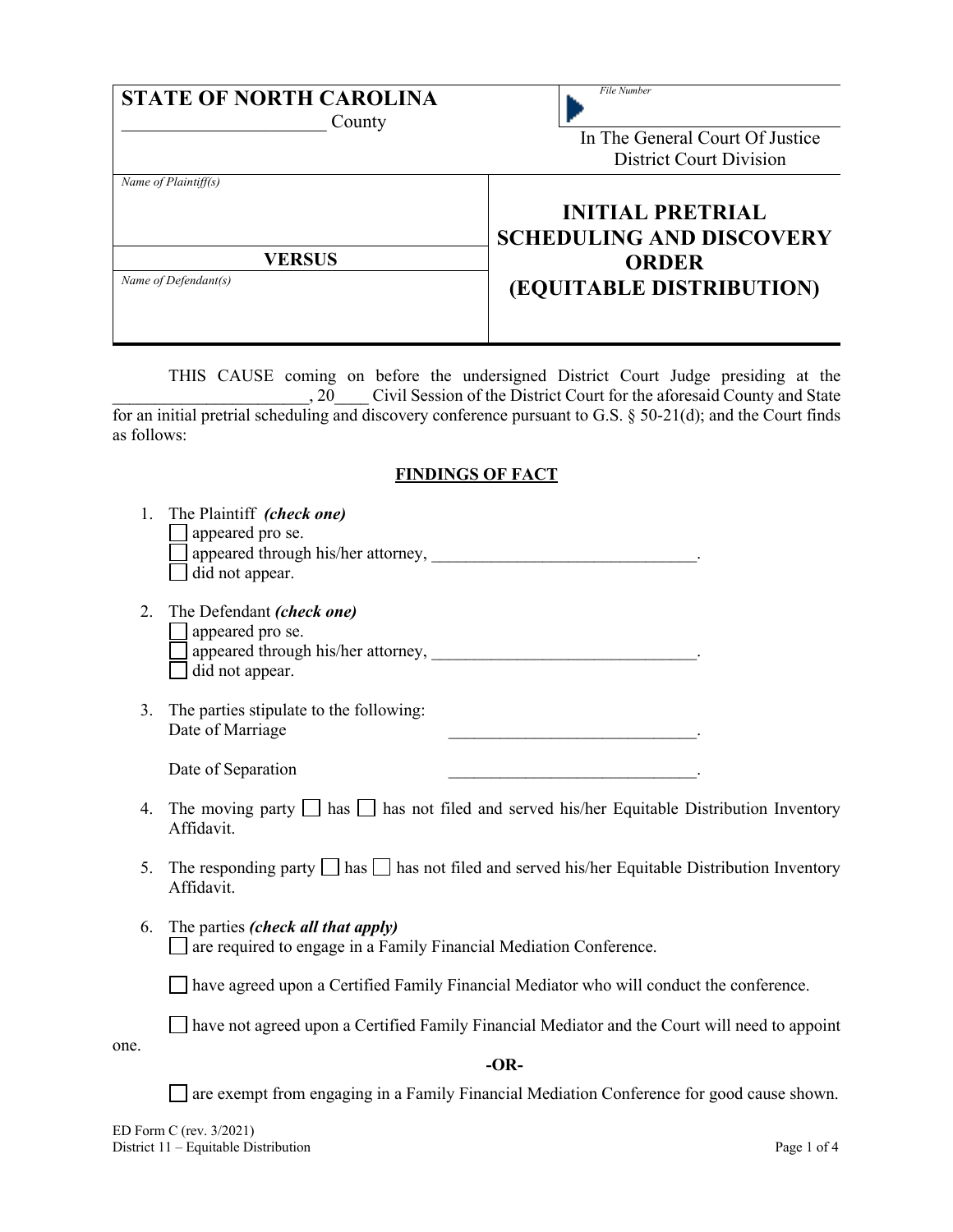| <b>STATE OF NORTH CAROLINA</b><br>County | File Number<br>In The General Court Of Justice<br>District Court Division  |
|------------------------------------------|----------------------------------------------------------------------------|
| Name of Plaintiff(s)<br><b>VERSUS</b>    | <b>INITIAL PRETRIAL</b><br><b>SCHEDULING AND DISCOVERY</b><br><b>ORDER</b> |
| Name of Defendant(s)                     | (EQUITABLE DISTRIBUTION)                                                   |

THIS CAUSE coming on before the undersigned District Court Judge presiding at the , 20\_\_\_\_\_\_ Civil Session of the District Court for the aforesaid County and State for an initial pretrial scheduling and discovery conference pursuant to G.S. § 50-21(d); and the Court finds as follows:

# **FINDINGS OF FACT**

|      | The Plaintiff (check one)<br>appeared pro se.<br>did not appear.                                                       |  |  |
|------|------------------------------------------------------------------------------------------------------------------------|--|--|
| 2.   | The Defendant (check one)<br>appeared pro se.<br>did not appear.                                                       |  |  |
| 3.   | The parties stipulate to the following:<br>Date of Marriage                                                            |  |  |
|      | Date of Separation<br><u> 1989 - Johann Barn, mars eta bainar eta idazlea (h. 1982).</u>                               |  |  |
| 4.   | The moving party $\Box$ has $\Box$ has not filed and served his/her Equitable Distribution Inventory<br>Affidavit.     |  |  |
| 5.   | The responding party $\Box$ has $\Box$ has not filed and served his/her Equitable Distribution Inventory<br>Affidavit. |  |  |
| 6.   | The parties <i>(check all that apply)</i><br>are required to engage in a Family Financial Mediation Conference.        |  |  |
|      | have agreed upon a Certified Family Financial Mediator who will conduct the conference.                                |  |  |
|      | have not agreed upon a Certified Family Financial Mediator and the Court will need to appoint                          |  |  |
| one. | $-OR-$                                                                                                                 |  |  |
|      | are exempt from engaging in a Family Financial Mediation Conference for good cause shown.                              |  |  |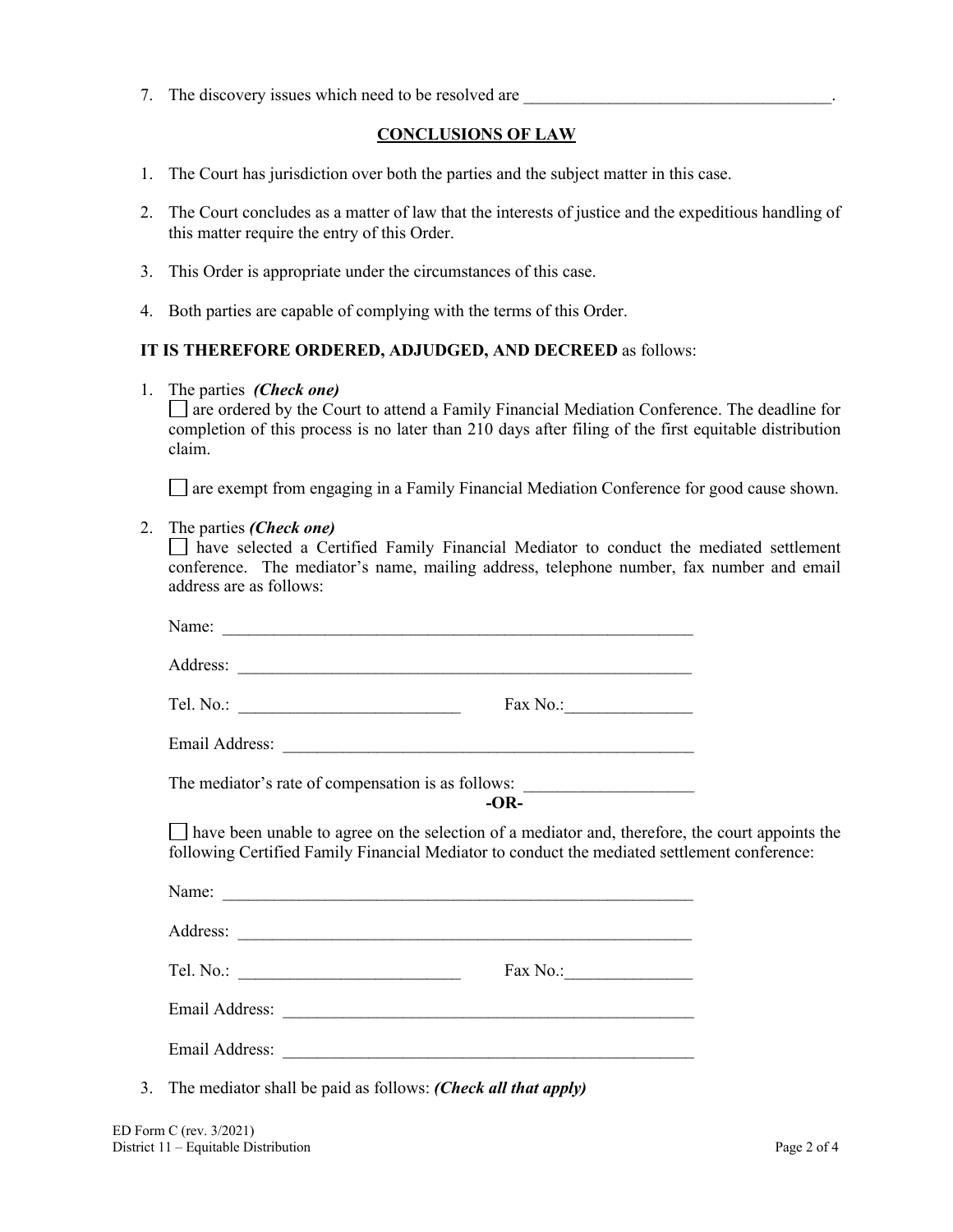7. The discovery issues which need to be resolved are

# **CONCLUSIONS OF LAW**

- 1. The Court has jurisdiction over both the parties and the subject matter in this case.
- 2. The Court concludes as a matter of law that the interests of justice and the expeditious handling of this matter require the entry of this Order.
- 3. This Order is appropriate under the circumstances of this case.
- 4. Both parties are capable of complying with the terms of this Order.

### **IT IS THEREFORE ORDERED, ADJUDGED, AND DECREED** as follows:

1. The parties *(Check one)*

are ordered by the Court to attend a Family Financial Mediation Conference. The deadline for completion of this process is no later than 210 days after filing of the first equitable distribution claim.

are exempt from engaging in a Family Financial Mediation Conference for good cause shown.

#### 2. The parties *(Check one)*

have selected a Certified Family Financial Mediator to conduct the mediated settlement conference. The mediator's name, mailing address, telephone number, fax number and email address are as follows:

|    | Name:                                                                                                                                                                                           |  |
|----|-------------------------------------------------------------------------------------------------------------------------------------------------------------------------------------------------|--|
|    |                                                                                                                                                                                                 |  |
|    |                                                                                                                                                                                                 |  |
|    |                                                                                                                                                                                                 |  |
|    | The mediator's rate of compensation is as follows: _____________________________<br>$-OR-$                                                                                                      |  |
|    | have been unable to agree on the selection of a mediator and, therefore, the court appoints the<br>following Certified Family Financial Mediator to conduct the mediated settlement conference: |  |
|    |                                                                                                                                                                                                 |  |
|    |                                                                                                                                                                                                 |  |
|    |                                                                                                                                                                                                 |  |
|    |                                                                                                                                                                                                 |  |
|    |                                                                                                                                                                                                 |  |
| 3. | The mediator shall be paid as follows: (Check all that apply)                                                                                                                                   |  |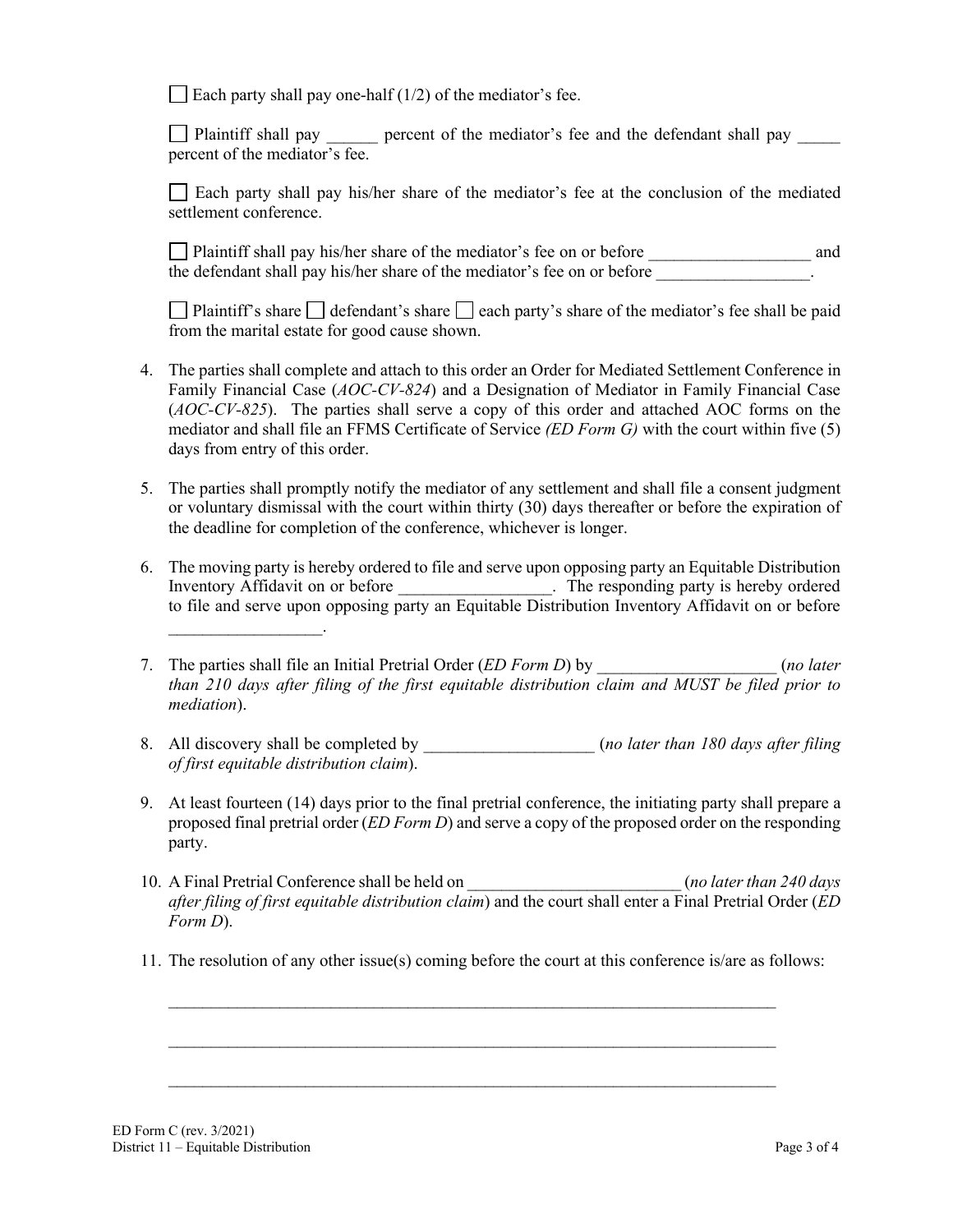Each party shall pay one-half  $(1/2)$  of the mediator's fee.

Plaintiff shall pay percent of the mediator's fee and the defendant shall pay percent of the mediator's fee.

Each party shall pay his/her share of the mediator's fee at the conclusion of the mediated settlement conference.

Plaintiff shall pay his/her share of the mediator's fee on or before \_\_\_\_\_\_\_\_\_\_\_\_\_\_\_\_\_\_\_ and the defendant shall pay his/her share of the mediator's fee on or before

Plaintiff's share  $\Box$  defendant's share  $\Box$  each party's share of the mediator's fee shall be paid from the marital estate for good cause shown.

- 4. The parties shall complete and attach to this order an Order for Mediated Settlement Conference in Family Financial Case (*AOC-CV-824*) and a Designation of Mediator in Family Financial Case (*AOC-CV-825*). The parties shall serve a copy of this order and attached AOC forms on the mediator and shall file an FFMS Certificate of Service *(ED Form G)* with the court within five (5) days from entry of this order.
- 5. The parties shall promptly notify the mediator of any settlement and shall file a consent judgment or voluntary dismissal with the court within thirty (30) days thereafter or before the expiration of the deadline for completion of the conference, whichever is longer.
- 6. The moving party is hereby ordered to file and serve upon opposing party an Equitable Distribution Inventory Affidavit on or before \_\_\_\_\_\_\_\_\_\_\_\_\_\_\_\_\_\_. The responding party is hereby ordered to file and serve upon opposing party an Equitable Distribution Inventory Affidavit on or before \_\_\_\_\_\_\_\_\_\_\_\_\_\_\_\_\_\_.
- 7. The parties shall file an Initial Pretrial Order (*ED Form D*) by \_\_\_\_\_\_\_\_\_\_\_\_\_\_\_\_\_\_\_\_\_ (*no later than 210 days after filing of the first equitable distribution claim and MUST be filed prior to mediation*).
- 8. All discovery shall be completed by \_\_\_\_\_\_\_\_\_\_\_\_\_\_\_\_\_\_\_\_\_\_\_\_\_\_ (*no later than 180 days after filing of first equitable distribution claim*).
- 9. At least fourteen (14) days prior to the final pretrial conference, the initiating party shall prepare a proposed final pretrial order (*ED Form D*) and serve a copy of the proposed order on the responding party.
- 10. A Final Pretrial Conference shall be held on \_\_\_\_\_\_\_\_\_\_\_\_\_\_\_\_\_\_\_\_\_\_\_\_\_ (*no later than 240 days after filing of first equitable distribution claim*) and the court shall enter a Final Pretrial Order (*ED Form D*).
- 11. The resolution of any other issue(s) coming before the court at this conference is/are as follows:

 $\_$  , and the contribution of the contribution of  $\mathcal{L}_\mathcal{A}$  , and the contribution of  $\mathcal{L}_\mathcal{A}$ 

 $\_$  , and the contribution of the contribution of  $\mathcal{L}_\mathcal{A}$  , and the contribution of  $\mathcal{L}_\mathcal{A}$ 

 $\_$  , and the contribution of the contribution of  $\mathcal{L}_\mathcal{A}$  , and the contribution of  $\mathcal{L}_\mathcal{A}$